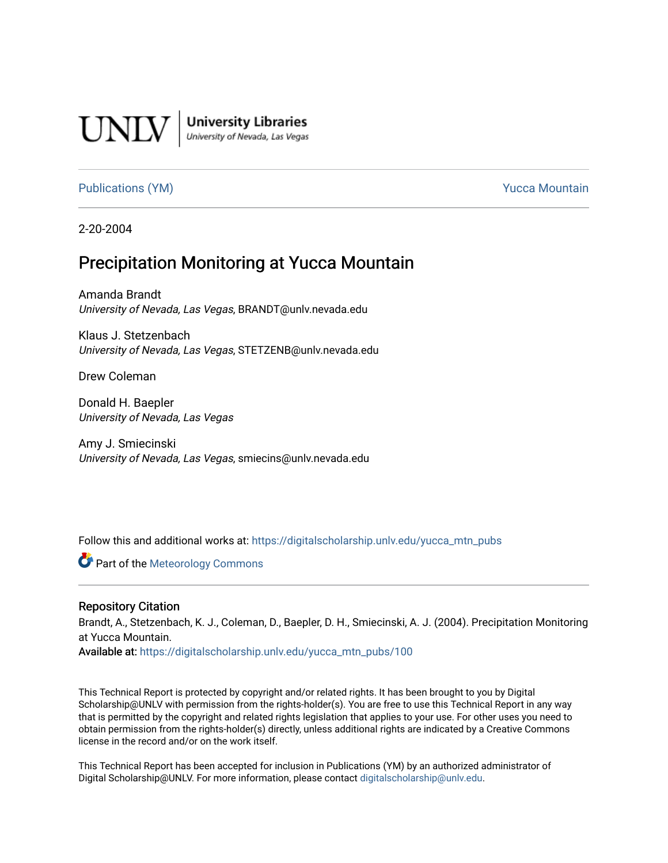

**University Libraries**<br>University of Nevada, Las Vegas

#### [Publications \(YM\)](https://digitalscholarship.unlv.edu/yucca_mtn_pubs) **Publications (YM) Publications (YM) Publications** (*YM*)

2-20-2004

# Precipitation Monitoring at Yucca Mountain

Amanda Brandt University of Nevada, Las Vegas, BRANDT@unlv.nevada.edu

Klaus J. Stetzenbach University of Nevada, Las Vegas, STETZENB@unlv.nevada.edu

Drew Coleman

Donald H. Baepler University of Nevada, Las Vegas

Amy J. Smiecinski University of Nevada, Las Vegas, smiecins@unlv.nevada.edu

Follow this and additional works at: [https://digitalscholarship.unlv.edu/yucca\\_mtn\\_pubs](https://digitalscholarship.unlv.edu/yucca_mtn_pubs?utm_source=digitalscholarship.unlv.edu%2Fyucca_mtn_pubs%2F100&utm_medium=PDF&utm_campaign=PDFCoverPages)

**C** Part of the Meteorology Commons

#### Repository Citation

Brandt, A., Stetzenbach, K. J., Coleman, D., Baepler, D. H., Smiecinski, A. J. (2004). Precipitation Monitoring at Yucca Mountain.

Available at: [https://digitalscholarship.unlv.edu/yucca\\_mtn\\_pubs/100](https://digitalscholarship.unlv.edu/yucca_mtn_pubs/100) 

This Technical Report is protected by copyright and/or related rights. It has been brought to you by Digital Scholarship@UNLV with permission from the rights-holder(s). You are free to use this Technical Report in any way that is permitted by the copyright and related rights legislation that applies to your use. For other uses you need to obtain permission from the rights-holder(s) directly, unless additional rights are indicated by a Creative Commons license in the record and/or on the work itself.

This Technical Report has been accepted for inclusion in Publications (YM) by an authorized administrator of Digital Scholarship@UNLV. For more information, please contact [digitalscholarship@unlv.edu](mailto:digitalscholarship@unlv.edu).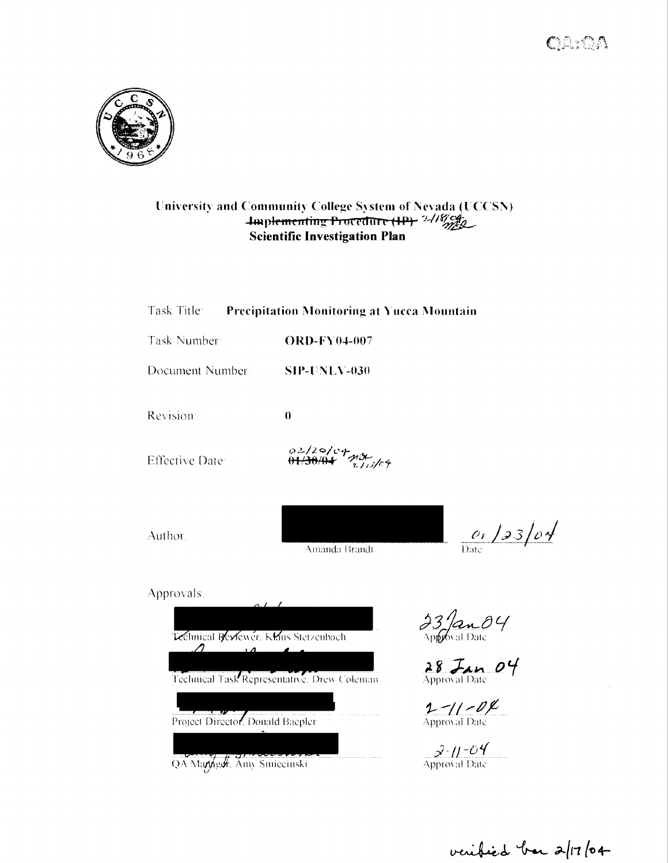$QA:QA$ 



#### University and Community College System of Nevada (UCCSN)  $\frac{1}{2}$ menting Procedure <del>(IP)</del>  $\frac{2/18/10}{2/10}$ **Scientific Investigation Plan**

| Task Title:                                                   | <b>Precipitation Monitoring at Yucca Mountain</b> |                                               |
|---------------------------------------------------------------|---------------------------------------------------|-----------------------------------------------|
| Task Number:                                                  | <b>ORD-FY04-007</b>                               |                                               |
| Document Number:                                              | <b>SIP-UNLV-030</b>                               |                                               |
| Revision:                                                     | $\bf{0}$                                          |                                               |
| <b>Effective Date:</b>                                        | 02/20/04<br><del>01/30/04</del> 21/3/04           |                                               |
| Author:                                                       | Amanda Brandt                                     | $0.123/\rho$                                  |
| Approvals:                                                    |                                                   |                                               |
| Technical Reviewer, Klaus Stetzenbach<br>$\prime$<br>$\Delta$ | Technical Task Representative. Drew Coleman       | $23/$ an $04$<br>$28$ Jan 04<br>$1 - 11 - 01$ |
| Project Director. Donald Baepler                              |                                                   | Approval Date                                 |

QA Manngar. Amy Smiecinski

**1-11-04**<br>Approval Date

 $\mathscr{S}\cdot$ 11–04 $^{\prime\prime}$ Approval Date

veribied bar 2/17/04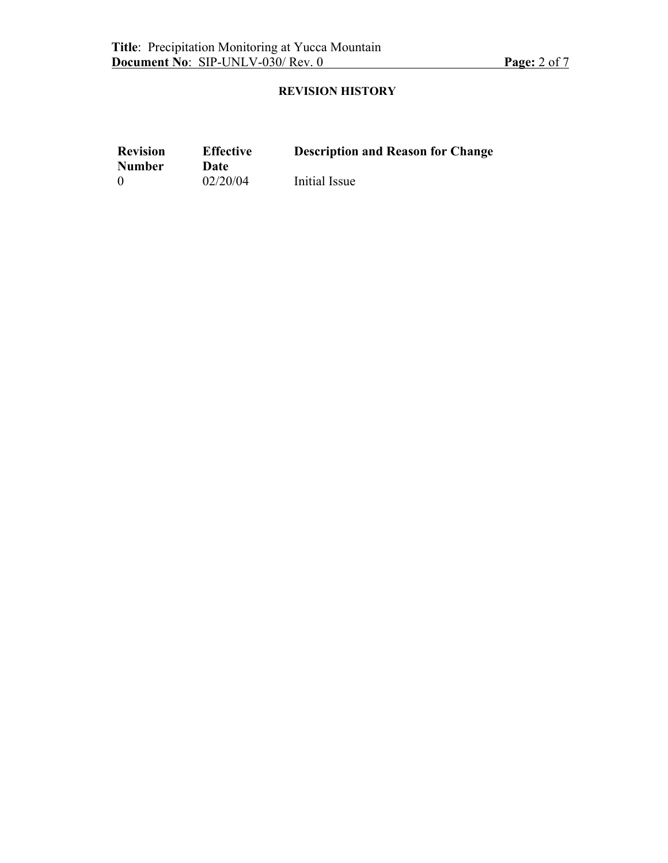## **REVISION HISTORY**

| <b>Revision</b> | <b>Effective</b> | <b>Description and Reason for Change</b> |
|-----------------|------------------|------------------------------------------|
| <b>Number</b>   | Date             |                                          |
| $\Omega$        | 02/20/04         | Initial Issue                            |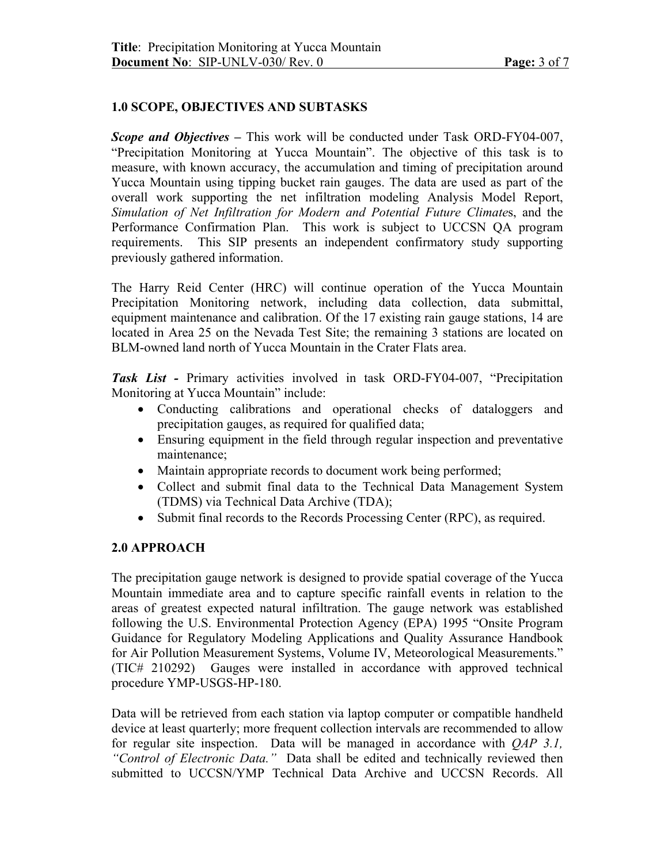## **1.0 SCOPE, OBJECTIVES AND SUBTASKS**

*Scope and Objectives –* This work will be conducted under Task ORD-FY04-007, "Precipitation Monitoring at Yucca Mountain". The objective of this task is to measure, with known accuracy, the accumulation and timing of precipitation around Yucca Mountain using tipping bucket rain gauges. The data are used as part of the overall work supporting the net infiltration modeling Analysis Model Report, *Simulation of Net Infiltration for Modern and Potential Future Climate*s, and the Performance Confirmation Plan. This work is subject to UCCSN QA program requirements. This SIP presents an independent confirmatory study supporting previously gathered information.

The Harry Reid Center (HRC) will continue operation of the Yucca Mountain Precipitation Monitoring network, including data collection, data submittal, equipment maintenance and calibration. Of the 17 existing rain gauge stations, 14 are located in Area 25 on the Nevada Test Site; the remaining 3 stations are located on BLM-owned land north of Yucca Mountain in the Crater Flats area.

*Task List -* Primary activities involved in task ORD-FY04-007, "Precipitation Monitoring at Yucca Mountain" include:

- Conducting calibrations and operational checks of dataloggers and precipitation gauges, as required for qualified data;
- Ensuring equipment in the field through regular inspection and preventative maintenance;
- Maintain appropriate records to document work being performed;
- Collect and submit final data to the Technical Data Management System (TDMS) via Technical Data Archive (TDA);
- Submit final records to the Records Processing Center (RPC), as required.

#### **2.0 APPROACH**

The precipitation gauge network is designed to provide spatial coverage of the Yucca Mountain immediate area and to capture specific rainfall events in relation to the areas of greatest expected natural infiltration. The gauge network was established following the U.S. Environmental Protection Agency (EPA) 1995 "Onsite Program Guidance for Regulatory Modeling Applications and Quality Assurance Handbook for Air Pollution Measurement Systems, Volume IV, Meteorological Measurements." (TIC# 210292) Gauges were installed in accordance with approved technical procedure YMP-USGS-HP-180.

Data will be retrieved from each station via laptop computer or compatible handheld device at least quarterly; more frequent collection intervals are recommended to allow for regular site inspection. Data will be managed in accordance with *QAP 3.1, "Control of Electronic Data."* Data shall be edited and technically reviewed then submitted to UCCSN/YMP Technical Data Archive and UCCSN Records. All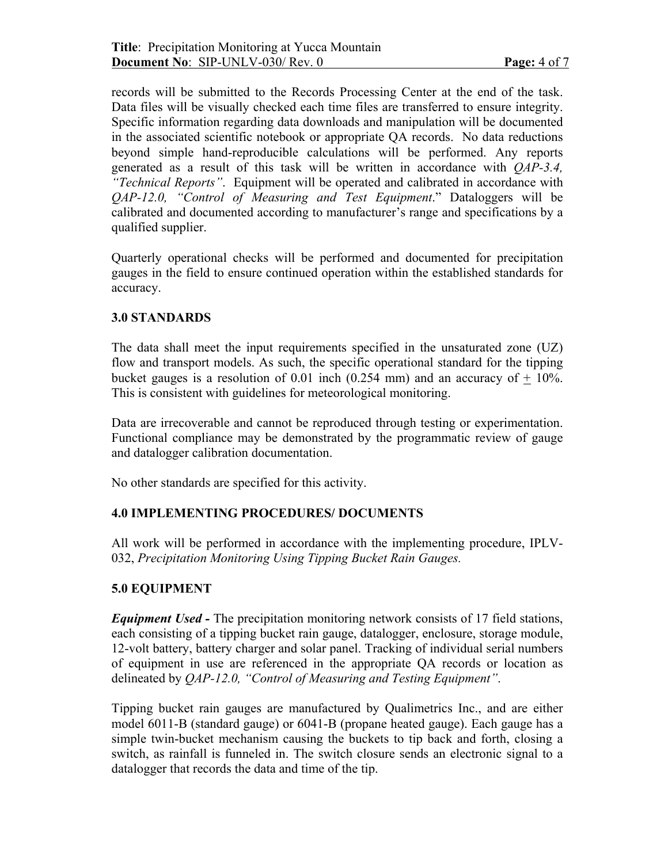records will be submitted to the Records Processing Center at the end of the task. Data files will be visually checked each time files are transferred to ensure integrity. Specific information regarding data downloads and manipulation will be documented in the associated scientific notebook or appropriate QA records. No data reductions beyond simple hand-reproducible calculations will be performed. Any reports generated as a result of this task will be written in accordance with *QAP-3.4, "Technical Reports"*. Equipment will be operated and calibrated in accordance with *QAP-12.0, "Control of Measuring and Test Equipment*." Dataloggers will be calibrated and documented according to manufacturer's range and specifications by a qualified supplier.

Quarterly operational checks will be performed and documented for precipitation gauges in the field to ensure continued operation within the established standards for accuracy.

## **3.0 STANDARDS**

The data shall meet the input requirements specified in the unsaturated zone (UZ) flow and transport models. As such, the specific operational standard for the tipping bucket gauges is a resolution of 0.01 inch (0.254 mm) and an accuracy of  $+$  10%. This is consistent with guidelines for meteorological monitoring.

Data are irrecoverable and cannot be reproduced through testing or experimentation. Functional compliance may be demonstrated by the programmatic review of gauge and datalogger calibration documentation.

No other standards are specified for this activity.

## **4.0 IMPLEMENTING PROCEDURES/ DOCUMENTS**

All work will be performed in accordance with the implementing procedure, IPLV-032, *Precipitation Monitoring Using Tipping Bucket Rain Gauges.*

## **5.0 EQUIPMENT**

*Equipment Used -* The precipitation monitoring network consists of 17 field stations, each consisting of a tipping bucket rain gauge, datalogger, enclosure, storage module, 12-volt battery, battery charger and solar panel. Tracking of individual serial numbers of equipment in use are referenced in the appropriate QA records or location as delineated by *QAP-12.0, "Control of Measuring and Testing Equipment"*.

Tipping bucket rain gauges are manufactured by Qualimetrics Inc., and are either model 6011-B (standard gauge) or 6041-B (propane heated gauge). Each gauge has a simple twin-bucket mechanism causing the buckets to tip back and forth, closing a switch, as rainfall is funneled in. The switch closure sends an electronic signal to a datalogger that records the data and time of the tip.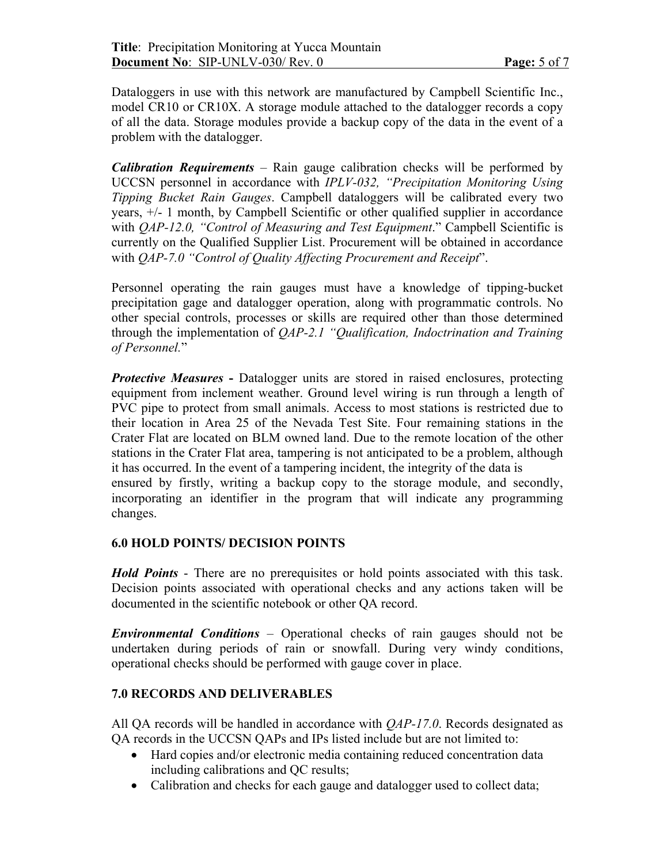Dataloggers in use with this network are manufactured by Campbell Scientific Inc., model CR10 or CR10X. A storage module attached to the datalogger records a copy of all the data. Storage modules provide a backup copy of the data in the event of a problem with the datalogger.

*Calibration Requirements* – Rain gauge calibration checks will be performed by UCCSN personnel in accordance with *IPLV-032, "Precipitation Monitoring Using Tipping Bucket Rain Gauges*. Campbell dataloggers will be calibrated every two years, +/- 1 month, by Campbell Scientific or other qualified supplier in accordance with *QAP-12.0, "Control of Measuring and Test Equipment.*" Campbell Scientific is currently on the Qualified Supplier List. Procurement will be obtained in accordance with *QAP-7.0 "Control of Quality Affecting Procurement and Receipt*".

Personnel operating the rain gauges must have a knowledge of tipping-bucket precipitation gage and datalogger operation, along with programmatic controls. No other special controls, processes or skills are required other than those determined through the implementation of *QAP-2.1 "Qualification, Indoctrination and Training of Personnel.*"

*Protective Measures* - Datalogger units are stored in raised enclosures, protecting equipment from inclement weather. Ground level wiring is run through a length of PVC pipe to protect from small animals. Access to most stations is restricted due to their location in Area 25 of the Nevada Test Site. Four remaining stations in the Crater Flat are located on BLM owned land. Due to the remote location of the other stations in the Crater Flat area, tampering is not anticipated to be a problem, although it has occurred. In the event of a tampering incident, the integrity of the data is ensured by firstly, writing a backup copy to the storage module, and secondly, incorporating an identifier in the program that will indicate any programming changes.

#### **6.0 HOLD POINTS/ DECISION POINTS**

*Hold Points* - There are no prerequisites or hold points associated with this task. Decision points associated with operational checks and any actions taken will be documented in the scientific notebook or other QA record.

*Environmental Conditions* – Operational checks of rain gauges should not be undertaken during periods of rain or snowfall. During very windy conditions, operational checks should be performed with gauge cover in place.

#### **7.0 RECORDS AND DELIVERABLES**

All QA records will be handled in accordance with *QAP-17.0*. Records designated as QA records in the UCCSN QAPs and IPs listed include but are not limited to:

- Hard copies and/or electronic media containing reduced concentration data including calibrations and QC results;
- Calibration and checks for each gauge and datalogger used to collect data;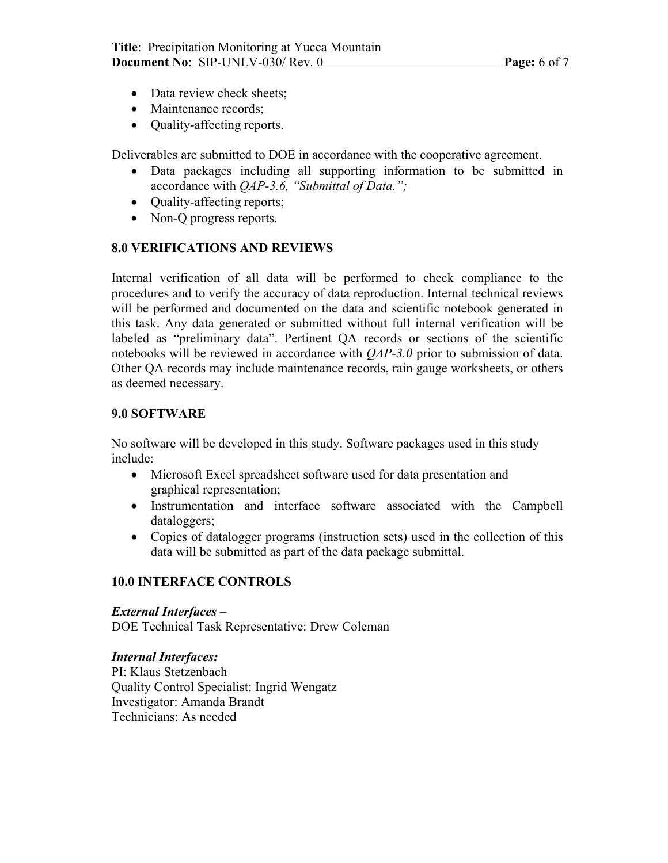- Data review check sheets;
- Maintenance records;
- **Quality-affecting reports.**

Deliverables are submitted to DOE in accordance with the cooperative agreement.

- Data packages including all supporting information to be submitted in accordance with *QAP-3.6, "Submittal of Data.";*
- Ouality-affecting reports;
- Non-Q progress reports.

### **8.0 VERIFICATIONS AND REVIEWS**

Internal verification of all data will be performed to check compliance to the procedures and to verify the accuracy of data reproduction. Internal technical reviews will be performed and documented on the data and scientific notebook generated in this task. Any data generated or submitted without full internal verification will be labeled as "preliminary data". Pertinent QA records or sections of the scientific notebooks will be reviewed in accordance with *QAP-3.0* prior to submission of data. Other QA records may include maintenance records, rain gauge worksheets, or others as deemed necessary.

#### **9.0 SOFTWARE**

No software will be developed in this study. Software packages used in this study include:

- Microsoft Excel spreadsheet software used for data presentation and graphical representation;
- Instrumentation and interface software associated with the Campbell dataloggers;
- Copies of datalogger programs (instruction sets) used in the collection of this data will be submitted as part of the data package submittal.

#### **10.0 INTERFACE CONTROLS**

#### *External Interfaces* –

DOE Technical Task Representative: Drew Coleman

#### *Internal Interfaces:*

PI: Klaus Stetzenbach Quality Control Specialist: Ingrid Wengatz Investigator: Amanda Brandt Technicians: As needed